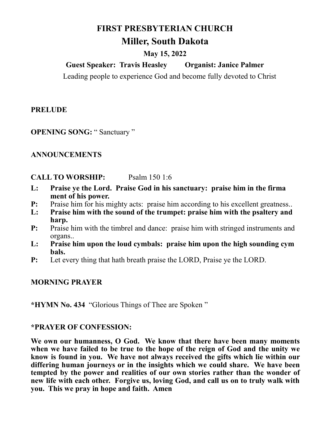# **FIRST PRESBYTERIAN CHURCH**

# **Miller, South Dakota**

### **May 15, 2022**

## **Guest Speaker: Travis Heasley Organist: Janice Palmer**

Leading people to experience God and become fully devoted to Christ

### **PRELUDE**

**OPENING SONG: "Sanctuary "** 

#### **ANNOUNCEMENTS**

#### **CALL TO WORSHIP:** Psalm 150 1:6

- **L: Praise ye the Lord. Praise God in his sanctuary: praise him in the firma ment of his power.**
- **P:** Praise him for his mighty acts: praise him according to his excellent greatness..
- **L: Praise him with the sound of the trumpet: praise him with the psaltery and harp.**
- **P:** Praise him with the timbrel and dance: praise him with stringed instruments and organs..
- **L: Praise him upon the loud cymbals: praise him upon the high sounding cym bals.**
- **P:** Let every thing that hath breath praise the LORD, Praise ye the LORD.

#### **MORNING PRAYER**

**\*HYMN No. 434** "Glorious Things of Thee are Spoken "

#### **\*PRAYER OF CONFESSION:**

**We own our humanness, O God. We know that there have been many moments when we have failed to be true to the hope of the reign of God and the unity we know is found in you. We have not always received the gifts which lie within our differing human journeys or in the insights which we could share. We have been tempted by the power and realities of our own stories rather than the wonder of new life with each other. Forgive us, loving God, and call us on to truly walk with you. This we pray in hope and faith. Amen**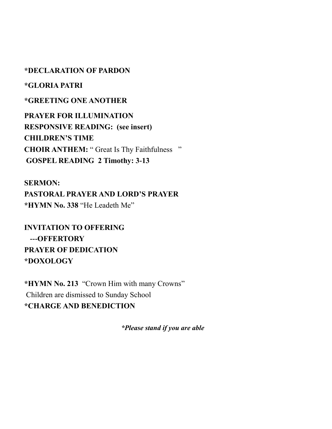#### **\*DECLARATION OF PARDON**

**\*GLORIA PATRI**

#### **\*GREETING ONE ANOTHER**

**PRAYER FOR ILLUMINATION RESPONSIVE READING: (see insert) CHILDREN'S TIME CHOIR ANTHEM:** " Great Is Thy Faithfulness " **GOSPEL READING 2 Timothy: 3-13**

**SERMON: PASTORAL PRAYER AND LORD'S PRAYER \*HYMN No. 338** "He Leadeth Me"

**INVITATION TO OFFERING ---OFFERTORY PRAYER OF DEDICATION \*DOXOLOGY**

**\*HYMN No. 213** "Crown Him with many Crowns" Children are dismissed to Sunday School **\*CHARGE AND BENEDICTION**

*\*Please stand if you are able*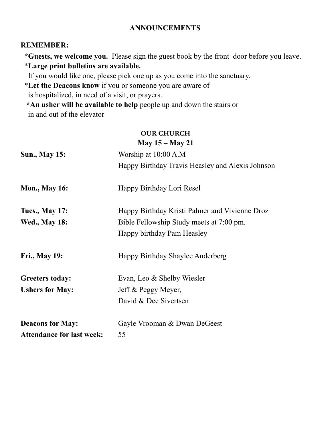#### **ANNOUNCEMENTS**

#### **REMEMBER:**

 **\*Guests, we welcome you.** Please sign the guest book by the front door before you leave. \***Large print bulletins are available.** 

If you would like one, please pick one up as you come into the sanctuary.

\***Let the Deacons know** if you or someone you are aware of

is hospitalized, in need of a visit, or prayers.

 **\*An usher will be available to help** people up and down the stairs or in and out of the elevator

#### **OUR CHURCH May 15 – May 21**

|                                  | $11.144$ , $10 - 11.14$ , $-11$                  |
|----------------------------------|--------------------------------------------------|
| <b>Sun., May 15:</b>             | Worship at 10:00 A.M                             |
|                                  | Happy Birthday Travis Heasley and Alexis Johnson |
| <b>Mon., May 16:</b>             | Happy Birthday Lori Resel                        |
| <b>Tues., May 17:</b>            | Happy Birthday Kristi Palmer and Vivienne Droz   |
| <b>Wed., May 18:</b>             | Bible Fellowship Study meets at 7:00 pm.         |
|                                  | Happy birthday Pam Heasley                       |
| <b>Fri., May 19:</b>             | Happy Birthday Shaylee Anderberg                 |
| <b>Greeters today:</b>           | Evan, Leo & Shelby Wiesler                       |
| <b>Ushers for May:</b>           | Jeff & Peggy Meyer,                              |
|                                  | David & Dee Sivertsen                            |
| <b>Deacons for May:</b>          | Gayle Vrooman & Dwan DeGeest                     |
| <b>Attendance for last week:</b> | 55                                               |